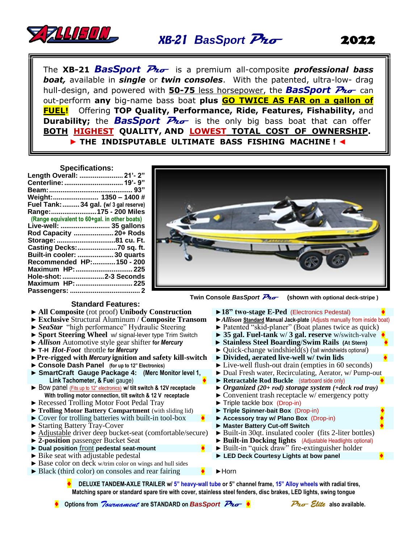

## *BasSport* **Pro**

2022

The **XB-21** *BasSport* **Pro** is a premium all-composite *professional bass boat,* available in *single* or *twin consoles*. With the patented, ultra-low- drag hull-design, and powered with **50-75** less horsepower, the *BasSport* **Pro** can out-perform **any** big-name bass boat **plus GO TWICE AS FAR on a gallon of FUEL!** Offering **TOP Quality, Performance, Ride, Features, Fishability,** and **Durability;** the **BasSport** Pro is the only big bass boat that can offer **BOTH HIGHEST QUALITY, AND LOWEST TOTAL COST OF OWNERSHIP. ► THE INDISPUTABLE ULTIMATE BASS FISHING MACHINE !** ◄

 **Specifications:**

| Length Overall:  21'- 2"                     |  |
|----------------------------------------------|--|
| Centerline:  19'- 9"                         |  |
|                                              |  |
| Weight: 1350 - 1400 #                        |  |
| Fuel Tank:  34 gal. (w/ 3 gal reserve)       |  |
| Range:  175 - 200 Miles                      |  |
| (Range equivalent to 60+gal. in other boats) |  |
| Live-well:  35 gallons                       |  |
| Rod Capacity  20+ Rods                       |  |
| Storage: 81 cu. Ft.                          |  |
| Casting Decks:70 sq. ft.                     |  |
| Built-in cooler:  30 quarts                  |  |
| Recommended HP:150 - 200                     |  |
| Maximum HP:  225                             |  |
| Hole-shot: 2-3 Seconds                       |  |
|                                              |  |
|                                              |  |
|                                              |  |



 **Standard Features:** 

- 
- ► **Exclusive** Structural Aluminum / **Composite Transom**<br>► *SeaStar* "high performance" Hydraulic Steering
- 
- ► **Sport Steering Wheel** w/ signal-lever type Trim Switch ► **35 gal. Fuel-tank** w/ **3 gal. reserve** w/switch-valve **♦**
- 
- 
- ►**Pre-rigged with** *Mercury* **ignition and safety kill-switch** ► **Divided, aerated live-well w/ twin lids ♦**
- 
- ► **SmartCraft Gauge Package 4: (Merc Monitor level 1, Link Tachometer, & Fue**l gauge)
- ► Bow panel (Fits up to 12" electronics) **w/ tilt switch & 12V receptacle With trolling motor connection, tilt switch & 12 V receptacle**
- 
- ► Recessed Trolling Motor Foot Pedal Tray → Triple tackle box (Drop-in)<br>► Trolling Motor Battery Compartment (with sliding lid) → Triple Spinner-bait Box (Drop-in) ► **Trolling Motor Battery Compartment** (with sliding lid)
- ► Cover for trolling batteries with built-in tool-box **♦** ► **Accessory tray w/ Plano Box** (Drop-in) **♦**
- 
- ► Starting Battery Tray-Cover ► **Master Battery Cut-off Switch ♦** ► Adjustable driver deep bucket-seat (comfortable/secure)<br>
► 2-position passenger Bucket Seat
- 
- 
- 
- **►** Base color on deck w/trim color on wings and hull sides
- ► Black (third color) on consoles and rear fairing **♦** ►Horn
- **Twin Console BasSport**  $\overline{P_{\text{to}}}-$  (shown with optional deck-stripe)
- ► All Composite (rot proof) Unibody Construction<br>► Exclusive Structural Aluminum / Composite Transom ► Allison Standard Manual Jack-plate (Adjusts manually from inside boat)
	- ► Patented "skid-planer" (Boat planes twice as quick)
	-
	-
- ► *Allison* Automotive style gear shifter **for** *Mercury*► **Stainless Steel Boarding**/**Swim Rails (At Stern) ♦** ▶ Quick-change windshield(s) (tall windshields optional)
	-
	- ► Live-well flush-out drain (empties in 60 seconds)
	- ► Dual Fresh water, Recirculating, Aerator, w/ Pump-out
	- ► **Retractable Rod Buckle** (starboard side only) **♦**
	- ► *Organized (20+ rod) storage system (+deck rod tray)*
	- ► Convenient trash receptacle w/ emergency potty
	-
	-
	-
	-
	-
	- ► Built-in Docking lights (Adjustable Headlights optional)
- ► **Dual position** front **pedestal seat-mount ♦** ► Built-in "quick draw" fire-extinguisher holder
- ► Bike seat with adjustable pedestal ► **LED Deck Courtesy Lights at bow panel ♦**

**♦ DELUXE TANDEM-AXLE TRAILER w/ 5" heavy-wall tube or 5" channel frame, 15" Alloy wheels with radial tires, Matching spare or standard spare tire with cover, stainless steel fenders, disc brakes, LED lights, swing tongue**

 **Options from** *Tournament* **are STANDARD on BasSport Pro<sup>***↓***</sup> ●** *Pro Elite* also available.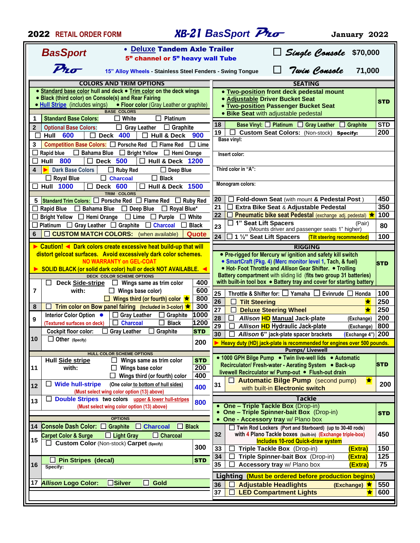| <b>2022 RETAIL ORDER FORM</b>                                                                          |                                                                                                    |                 | <b>XB-21 BasSport Pro</b><br>January 2022                                                                                 |            |  |  |  |
|--------------------------------------------------------------------------------------------------------|----------------------------------------------------------------------------------------------------|-----------------|---------------------------------------------------------------------------------------------------------------------------|------------|--|--|--|
|                                                                                                        | • Deluxe Tandem Axle Trailer                                                                       |                 |                                                                                                                           |            |  |  |  |
| Single Console<br>\$70,000<br><b>BasSport</b><br>5" channel or 5" heavy wall Tube                      |                                                                                                    |                 |                                                                                                                           |            |  |  |  |
| $P_{\text{ho}}$<br>Twin Console<br>71,000<br>15" Alloy Wheels - Stainless Steel Fenders - Swing Tongue |                                                                                                    |                 |                                                                                                                           |            |  |  |  |
|                                                                                                        | <b>COLORS AND TRIM OPTIONS</b>                                                                     |                 | <b>SEATING</b>                                                                                                            |            |  |  |  |
|                                                                                                        | • Standard base color hull and deck • Trim color on the deck wings                                 |                 | <b>. Two-position front deck pedestal mount</b>                                                                           |            |  |  |  |
| • Black (third color) on Console(s) and Rear Fairing                                                   |                                                                                                    |                 | <b>. Adjustable Driver Bucket Seat</b>                                                                                    | <b>STD</b> |  |  |  |
| • Hull Stripe (includes wings)                                                                         | • Floor color (Gray Leather or graphite)                                                           |                 | <b>Two-position Passenger Bucket Seat</b>                                                                                 |            |  |  |  |
|                                                                                                        | <b>BASE COLORS</b>                                                                                 |                 | • Bike Seat with adjustable pedestal                                                                                      |            |  |  |  |
| <b>Standard Base Colors:</b><br>1                                                                      | $\Box$ White<br>$\Box$ Platinum                                                                    |                 | Base Vinyl: D Platinum D Gray Leather D Graphite<br>18                                                                    | <b>STD</b> |  |  |  |
| $\overline{2}$<br><b>Optional Base Colors:</b>                                                         | $\Box$ Graphite<br>$\Box$ Gray Leather                                                             |                 | 200<br>19<br>Custom Seat Colors: (Non-stock) Specify:                                                                     |            |  |  |  |
| 600<br>Hull<br>$\Box$                                                                                  | <b>Deck 400</b><br><b>Hull &amp; Deck</b>                                                          | 900             | Base vinyl:                                                                                                               |            |  |  |  |
| 3                                                                                                      | Competition Base Colors: □ Porsche Red □ Flame Red                                                 | $\Box$ Lime     |                                                                                                                           |            |  |  |  |
| $\Box$ Bahama Blue<br>Rapid blue                                                                       | $\Box$ Bright Yellow<br>$\Box$ Hemi Orange                                                         |                 | Insert color:                                                                                                             |            |  |  |  |
| 800<br>Hull                                                                                            | <b>Deck 500</b><br><b>Hull &amp; Deck 1200</b>                                                     |                 |                                                                                                                           |            |  |  |  |
| 4<br><b>Dark Base Colors</b>                                                                           | $\Box$ Ruby Red<br>$\Box$ Deep Blue                                                                |                 | Third color in "A":                                                                                                       |            |  |  |  |
| $\Box$ Royal Blue                                                                                      | $\Box$ Charcoal<br>$\Box$ Black                                                                    |                 | Monogram colors:                                                                                                          |            |  |  |  |
| <b>Hull 1000</b><br>Ŋ.                                                                                 | Deck 600<br>$\Box$<br><b>Hull &amp; Deck 1500</b><br>TRIM COLORS                                   |                 |                                                                                                                           |            |  |  |  |
| 5                                                                                                      | Standard Trim Colors: $\Box$ Porsche Red $\Box$ Flame Red<br>⊔                                     | <b>Ruby Red</b> | Fold-down Seat (with mount & Pedestal Post)<br>20                                                                         | 450        |  |  |  |
| <b>Rapid Blue</b><br>$\square$ Bahama Blue                                                             | $\Box$ Royal Blue*<br>$\Box$ Deep Blue                                                             |                 | 21<br>Extra Bike Seat & Adjustable Pedestal<br>⊔                                                                          | 350        |  |  |  |
| Bright Yellow □ Hemi Orange                                                                            | $\Box$ Lime<br>Purple                                                                              | White           | 22<br>Pneumatic bike seat Pedestal (exchange adj. pedestal) ★                                                             | 100        |  |  |  |
| Platinum $\Box$ Gray Leather $\Box$ Graphite                                                           | $\Box$ Charcoal                                                                                    | <b>Black</b>    | $\Box$ 1" Seat Lift Spacers<br>(Pair)<br>23                                                                               | 80         |  |  |  |
| 6                                                                                                      | <b>CUSTOM MATCH COLORS:</b> (when available)                                                       | Quote           | (Mounts driver and passenger seats 1" higher)                                                                             |            |  |  |  |
|                                                                                                        |                                                                                                    |                 | 24<br>1 1/2" Seat Lift Spacers<br>(Tilt steering recommended)                                                             | 100        |  |  |  |
|                                                                                                        | Caution! ◀ Dark colors create excessive heat build-up that will                                    |                 | <b>RIGGING</b>                                                                                                            |            |  |  |  |
|                                                                                                        | distort gelcoat surfaces. Avoid excessively dark color schemes.<br><b>NO WARRANTY on GEL-COAT</b>  |                 | • Pre-rigged for Mercury w/ ignition and safety kill switch<br>• SmartCraft (Pkg. 4) (Merc monitor level 1, Tach, & fuel) |            |  |  |  |
|                                                                                                        | SOLID BLACK (or solid dark color) hull or deck NOT AVAILABLE. ◀                                    |                 | . Hot- Foot Throttle and Allison Gear Shifter. • Trolling                                                                 | <b>STD</b> |  |  |  |
|                                                                                                        | <b>DECK COLOR SCHEME OPTIONS</b>                                                                   |                 | Battery compartment with sliding lid (fits two group 31 batteries)                                                        |            |  |  |  |
| Deck Side-stripe                                                                                       | $\Box$ Wings same as trim color                                                                    | 400             | with built-in tool box $\bullet$ Battery tray and cover for starting battery                                              |            |  |  |  |
| 7<br>with:                                                                                             | $\Box$ Wings base color)                                                                           | 600             | 25<br>Throttle & Shifter for: $\Box$ Yamaha $\Box$ Evinrude $\Box$ Honda                                                  | 100        |  |  |  |
|                                                                                                        | □ Wings third (or fourth) color $\bigstar$                                                         | 800             | 26<br>$\Box$<br><b>Tilt Steering</b>                                                                                      | 250        |  |  |  |
| 8                                                                                                      | Trim color on Bow panel fairing (Included in 3-color) $\bigstar$                                   | 300             | $\overline{27}$<br>$\Box$<br><b>Deluxe Steering Wheel</b>                                                                 | 250        |  |  |  |
| Interior Color Option •<br>9                                                                           | $\Box$ Gray Leather<br>Graphite<br>⊔                                                               | 1000            | 28<br>Allison HD Manual Jack-plate<br>$\Box$<br>(Exchange)                                                                | 200        |  |  |  |
| (Textured surfaces on deck)                                                                            | <b>Charcoal</b><br><b>Black</b>                                                                    | 1200            | 29<br>Allison HD Hydraulic Jack-plate<br>□<br>(Exchange)                                                                  | 800        |  |  |  |
| <b>Cockpit floor color:</b>                                                                            | <b>Gray Leather</b><br>Graphite<br>$\perp$                                                         | <b>STD</b>      | 30<br>$(Example 4")$ 200<br>$\Box$ Allison 6" jack-plate spacer brackets                                                  |            |  |  |  |
| 10<br>Other (Specify)                                                                                  |                                                                                                    | 200             | Heavy duty (HD) jack-plate is recommended for engines over 500 pounds.                                                    |            |  |  |  |
|                                                                                                        | <b>HULL COLOR SCHEME OPTIONS</b>                                                                   |                 | <b>Pumps/Livewell</b>                                                                                                     |            |  |  |  |
| <b>Hull Side stripe</b>                                                                                | Wings same as trim color                                                                           | <b>STD</b>      | • 1000 GPH Bilge Pump • Twin live-well lids • Automatic                                                                   |            |  |  |  |
| with:<br>11                                                                                            | $\Box$ Wings base color                                                                            | 200             | Recirculator/ Fresh-water - Aerating System . Back-up<br>livewell Recirculator w/ Pump-out . Flush-out drain              | <b>STD</b> |  |  |  |
|                                                                                                        | П<br>Wings third (or fourth) color                                                                 | 400             | <b>E</b> Automatic Bilge Pump (second pump)<br>★                                                                          |            |  |  |  |
| <b>Wide hull-stripe</b><br>12                                                                          | (One color to bottom of hull sides)                                                                | 400             | 31<br>with built-in Electronic switch                                                                                     | 200        |  |  |  |
|                                                                                                        | (Must select wing color option (13) above)                                                         |                 |                                                                                                                           |            |  |  |  |
| 13                                                                                                     | Double Stripes two colors upper & lower hull-stripes<br>(Must select wing color option (13) above) | 800             | Tackle<br>• One - Triple Tackle Box (Drop-in)                                                                             |            |  |  |  |
|                                                                                                        |                                                                                                    |                 | <b>One - Triple Spinner-bait Box</b> (Drop-in)                                                                            | <b>STD</b> |  |  |  |
|                                                                                                        | <b>OPTIONS</b>                                                                                     |                 | One - Accessory tray w/ Plano box<br>$\bullet$                                                                            |            |  |  |  |
| Console Dash Color: C Graphite<br>14                                                                   | $\Box$ Charcoal<br><b>Black</b><br>$\Box$                                                          |                 | Twin Rod Lockers (Port and Starboard) (up to 30-40 rods)                                                                  |            |  |  |  |
| <b>Carpet Color &amp; Surge</b><br>15                                                                  | $\Box$ Light Gray<br>$\Box$ Charcoal                                                               |                 | 32<br>with 4 Plano Tackle boxes (built-in) (Exchange triple-box)<br><b>Includes 10-rod Quick-draw system</b>              | 450        |  |  |  |
|                                                                                                        | <b>Custom Color (Non-stock) Carpet (Specify)</b>                                                   | 300             | 33<br>(Extra)<br>Triple Tackle Box (Drop-in)                                                                              | 150        |  |  |  |
|                                                                                                        |                                                                                                    |                 | 34<br>Triple Spinner-bait Box (Drop-in)<br>(Extra)                                                                        | 125        |  |  |  |
| <b>Pin Stripes (decal)</b><br>LI<br>16<br>Specify:                                                     |                                                                                                    | <b>STD</b>      | 35<br>Accessory tray w/ Plano box<br>(Extra)                                                                              | 75         |  |  |  |
|                                                                                                        |                                                                                                    |                 | Lighting (Must be ordered before production begins)                                                                       |            |  |  |  |
| <b>Allison Logo Color:</b><br>17                                                                       | П<br>$\square$ Silver<br>Gold                                                                      |                 | 36<br><b>Adjustable Headlights</b><br>★                                                                                   | 550        |  |  |  |
|                                                                                                        |                                                                                                    |                 | (Exchange)<br>37<br><b>LED Compartment Lights</b><br>$\star$                                                              | 600        |  |  |  |
|                                                                                                        |                                                                                                    |                 |                                                                                                                           |            |  |  |  |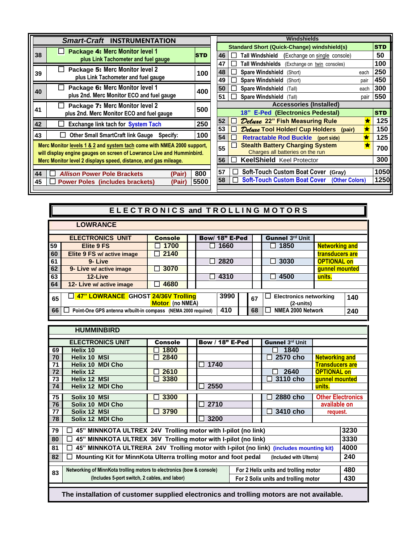|                                                                                                                                                                                                                    | <b>Smart-Craft INSTRUMENTATION</b>                                            |            |  |  |  |  |
|--------------------------------------------------------------------------------------------------------------------------------------------------------------------------------------------------------------------|-------------------------------------------------------------------------------|------------|--|--|--|--|
| 38                                                                                                                                                                                                                 | <b>Package 4: Merc Monitor level 1</b><br>plus Link Tachometer and fuel gauge | <b>STD</b> |  |  |  |  |
| 39                                                                                                                                                                                                                 | Package 5: Merc Monitor level 2<br>plus Link Tachometer and fuel gauge        | 100        |  |  |  |  |
| 40                                                                                                                                                                                                                 | Package 6: Merc Monitor level 1<br>plus 2nd. Merc Monitor ECO and fuel gauge  | 400        |  |  |  |  |
| 41                                                                                                                                                                                                                 | Package 7: Merc Monitor level 2<br>plus 2nd. Merc Monitor ECO and fuel gauge  | 500        |  |  |  |  |
| 42                                                                                                                                                                                                                 | <b>Exchange link tach for System Tach</b>                                     | 250        |  |  |  |  |
| 43                                                                                                                                                                                                                 | <b>Other Small SmartCraft link Gauge</b><br>Specify:                          | 100        |  |  |  |  |
| Merc Monitor levels 1 & 2 and system tach come with NMEA 2000 support,<br>will display engine gauges on screen of Lowrance Live and Humminbird.<br>Merc Monitor level 2 displays speed, distance, and gas mileage. |                                                                               |            |  |  |  |  |
| 44                                                                                                                                                                                                                 | <b>Allison Power Pole Brackets</b><br>(Pair)                                  | 800        |  |  |  |  |
| 45                                                                                                                                                                                                                 | <b>Power Poles (includes brackets)</b><br>(Pair                               | 5500       |  |  |  |  |

|    | Windshields                                             |            |  |  |  |  |  |
|----|---------------------------------------------------------|------------|--|--|--|--|--|
|    | <b>Standard Short (Quick-Change) windshield(s)</b>      | <b>STD</b> |  |  |  |  |  |
| 46 | Tall Windshield<br>(Exchange on single console)         | 50         |  |  |  |  |  |
| 47 | Tall Windshields<br>(Exchange on twin consoles)         | 100        |  |  |  |  |  |
| 48 | <b>Spare Windshield</b><br>(Short)<br>each              | 250        |  |  |  |  |  |
| 49 | <b>Spare Windshield</b><br>(Short)<br>pair              | 450        |  |  |  |  |  |
| 50 | <b>Spare Windshield</b><br>each<br>(Tall)               | 300        |  |  |  |  |  |
| 51 | <b>Spare Windshield</b><br>(Tall)<br>pair               | 550        |  |  |  |  |  |
|    | <b>Accessories (Installed)</b>                          |            |  |  |  |  |  |
|    | 18" E-Ped (Electronics Pedestal)                        | <b>STD</b> |  |  |  |  |  |
| 52 | <i>Deluxe</i> 22" Fish Measuring Rule<br>★              | 125        |  |  |  |  |  |
| 53 | <i><b>Deluxe Tool Holder/ Cup Holders</b></i><br>(pair) | 150        |  |  |  |  |  |
| 54 | <b>Retractable Rod Buckle</b> (port side)<br>×          | 125        |  |  |  |  |  |
| 55 | <b>Stealth Battery Charging System</b><br>v.            | 700        |  |  |  |  |  |
|    | Charges all batteries on the run                        |            |  |  |  |  |  |
| 56 | <b>KeelShield Keel Protector</b>                        | 300        |  |  |  |  |  |
| 57 | Soft-Touch Custom Boat Cover (Gray)                     | 1050       |  |  |  |  |  |
| 58 | Soft-Touch Custom Boat Cover (Other Colors)             | 1250       |  |  |  |  |  |
|    |                                                         |            |  |  |  |  |  |

## **ELECTRONICS and TROLLING MOTORS**

|    | <b>LOWRANCE</b>                                               |                        |                |    |                                                                  |                       |     |
|----|---------------------------------------------------------------|------------------------|----------------|----|------------------------------------------------------------------|-----------------------|-----|
|    | <b>ELECTRONICS UNIT</b>                                       | <b>Console</b>         | Bow/ 18" E-Ped |    | Gunnel 3rd Unit                                                  |                       |     |
| 59 | <b>Elite 9 FS</b>                                             | $\square$ 1700         | $\Box$ 1660    |    | $\Box$ 1850                                                      | <b>Networking and</b> |     |
| 60 | Elite 9 FS w/ active image                                    | $\Box$ 2140            |                |    |                                                                  | transducers are       |     |
| 61 | 9-Live                                                        |                        | $\Box$ 2820    |    | $\Box$ 3030                                                      | <b>OPTIONAL on</b>    |     |
| 62 | 9- Live w/ active image                                       | 3070<br>$\Box$         |                |    |                                                                  | qunnel mounted        |     |
| 63 | 12-Live                                                       |                        | $\Box$ 4310    |    | 4500                                                             | units.                |     |
| 64 | 12- Live w/ active image                                      | 4680<br>$\blacksquare$ |                |    |                                                                  |                       |     |
|    |                                                               |                        |                |    |                                                                  |                       |     |
| 65 | 47" LOWRANCE GHOST 24/36V Trolling                            | Motor (no NMEA)        | 3990           | 67 | <b>Electronics networking</b><br>$\mathsf{L}$<br>$(2$ -units $)$ |                       | 140 |
| 66 | Point-One GPS antenna w/built-in compass (NEMA 2000 required) |                        | 410            | 68 | NMEA 2000 Network                                                |                       | 240 |

|                                                                                                               | <b>HUMMINBIRD</b>                                                     |         |  |                        |  |  |                 |                        |                          |
|---------------------------------------------------------------------------------------------------------------|-----------------------------------------------------------------------|---------|--|------------------------|--|--|-----------------|------------------------|--------------------------|
|                                                                                                               | <b>ELECTRONICS UNIT</b>                                               | Console |  | <b>Bow / 18" E-Ped</b> |  |  | Gunnel 3rd Unit |                        |                          |
| 69                                                                                                            | Helix 10                                                              | 1800    |  |                        |  |  | 1840            |                        |                          |
| 70                                                                                                            | <b>Helix 10 MSI</b>                                                   | 2840    |  |                        |  |  | 2570 cho        | <b>Networking and</b>  |                          |
| 71                                                                                                            | Helix 10 MDI Cho                                                      |         |  | 1740                   |  |  |                 | <b>Transducers are</b> |                          |
| 72                                                                                                            | Helix 12                                                              | 2610    |  |                        |  |  | 2640            | <b>OPTIONAL on</b>     |                          |
| 73                                                                                                            | Helix 12 MSI                                                          | 3380    |  |                        |  |  | 3110 cho        | gunnel mounted         |                          |
| 74                                                                                                            | Helix 12 MDI Cho                                                      |         |  | 2550                   |  |  |                 | units.                 |                          |
| 75                                                                                                            | Solix 10 MSI                                                          | 3300    |  |                        |  |  | 2880 cho        |                        | <b>Other Electronics</b> |
| 76                                                                                                            | Solix 10 MDI Cho                                                      |         |  | 2710                   |  |  |                 | available on           |                          |
| 77                                                                                                            | Solix 12 MSI                                                          | 3790    |  |                        |  |  | 3410 cho        | request.               |                          |
| 78                                                                                                            | Solix 12 MDI Cho                                                      |         |  | 3200                   |  |  |                 |                        |                          |
| 79                                                                                                            | 3230<br>45" MINNKOTA ULTREX 24V Trolling motor with I-pilot (no link) |         |  |                        |  |  |                 |                        |                          |
| 80                                                                                                            | 45" MINNKOTA ULTREX 36V Trolling motor with I-pilot (no link)         |         |  |                        |  |  |                 |                        | 3330                     |
|                                                                                                               |                                                                       |         |  |                        |  |  |                 |                        |                          |
| 45" MINNKOTA ULTRERA 24V Trolling motor with I-pilot (no link) (includes mounting kit)<br>81                  |                                                                       |         |  |                        |  |  | 4000            |                        |                          |
| 82<br>Mounting Kit for MinnKota Ulterra trolling motor and foot pedal<br>(Included with Ulterra)              |                                                                       |         |  |                        |  |  | 240             |                        |                          |
| Networking of MinnKota trolling motors to electronics (bow & console)<br>For 2 Helix units and trolling motor |                                                                       |         |  |                        |  |  |                 | 480                    |                          |
| 83<br>(Includes 5-port switch, 2 cables, and labor)<br>For 2 Solix units and trolling motor                   |                                                                       |         |  |                        |  |  | 430             |                        |                          |
|                                                                                                               |                                                                       |         |  |                        |  |  |                 |                        |                          |

 **The installation of customer supplied electronics and trolling motors are not available.**